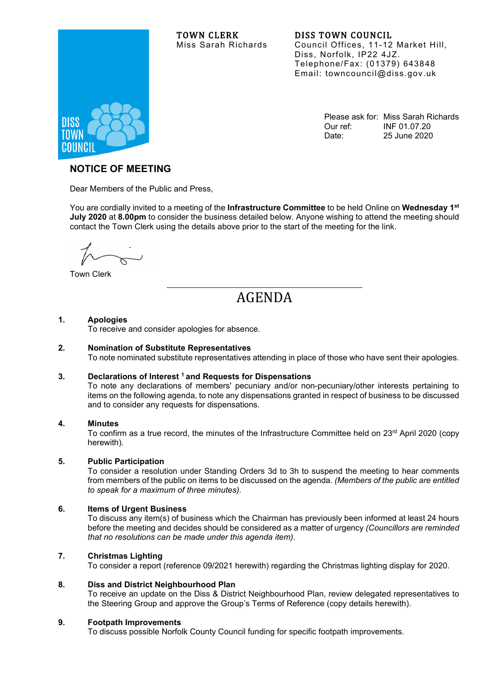# TOWN CLERK DISS TOWN COUNCIL<br>Miss Sarah Richards Council Offices, 11-12



Council Offices, 11-12 Market Hill, Diss, Norfolk, IP22 4JZ. Telephone/Fax: (01379) 643848 Email: towncouncil@diss.gov.uk

> Please ask for: Miss Sarah Richards Our ref: INF 01.07.20 Date: 25 June 2020

# **NOTICE OF MEETING**

Dear Members of the Public and Press,

You are cordially invited to a meeting of the **Infrastructure Committee** to be held Online on **Wednesday 1st July 2020** at **8.00pm** to consider the business detailed below. Anyone wishing to attend the meeting should contact the Town Clerk using the details above prior to the start of the meeting for the link.

Town Clerk

AGENDA

# **1. Apologies**

To receive and consider apologies for absence.

# **2. Nomination of Substitute Representatives**

To note nominated substitute representatives attending in place of those who have sent their apologies.

# **3. Declarations of Interest 1 and Requests for Dispensations**

To note any declarations of members' pecuniary and/or non-pecuniary/other interests pertaining to items on the following agenda, to note any dispensations granted in respect of business to be discussed and to consider any requests for dispensations.

# **4. Minutes**

To confirm as a true record, the minutes of the Infrastructure Committee held on 23<sup>rd</sup> April 2020 (copy herewith).

# **5. Public Participation**

To consider a resolution under Standing Orders 3d to 3h to suspend the meeting to hear comments from members of the public on items to be discussed on the agenda. *(Members of the public are entitled to speak for a maximum of three minutes).*

# **6. Items of Urgent Business**

To discuss any item(s) of business which the Chairman has previously been informed at least 24 hours before the meeting and decides should be considered as a matter of urgency *(Councillors are reminded that no resolutions can be made under this agenda item)*.

# **7. Christmas Lighting**

To consider a report (reference 09/2021 herewith) regarding the Christmas lighting display for 2020.

#### **8. Diss and District Neighbourhood Plan**

To receive an update on the Diss & District Neighbourhood Plan, review delegated representatives to the Steering Group and approve the Group's Terms of Reference (copy details herewith).

# **9. Footpath Improvements**

To discuss possible Norfolk County Council funding for specific footpath improvements.